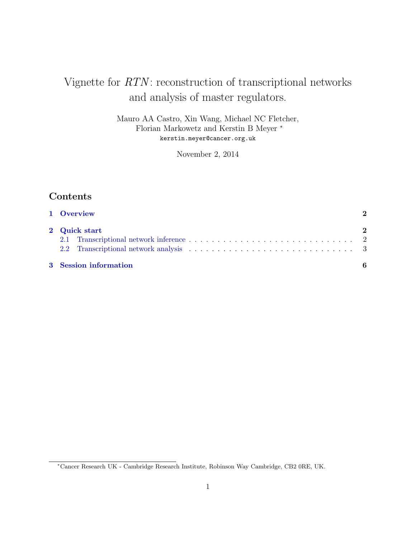# Vignette for  $RTN$ : reconstruction of transcriptional networks and analysis of master regulators.

Mauro AA Castro, Xin Wang, Michael NC Fletcher, Florian Markowetz and Kerstin B Meyer <sup>∗</sup> kerstin.meyer@cancer.org.uk

November 2, 2014

# Contents

| 1 Overview                                                                                                                                                                                                                     | 2             |
|--------------------------------------------------------------------------------------------------------------------------------------------------------------------------------------------------------------------------------|---------------|
| 2 Quick start                                                                                                                                                                                                                  | $\mathcal{D}$ |
|                                                                                                                                                                                                                                |               |
| 2.2 Transcriptional network analysis expansion in the set of the set of the set of the set of the set of the set of the set of the set of the set of the set of the set of the set of the set of the set of the set of the set |               |
| 3 Session information                                                                                                                                                                                                          |               |

<sup>∗</sup>Cancer Research UK - Cambridge Research Institute, Robinson Way Cambridge, CB2 0RE, UK.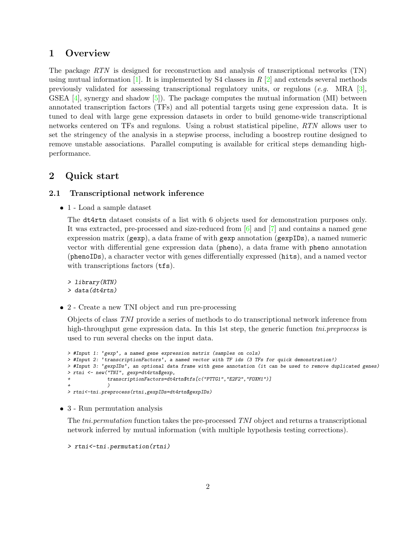### <span id="page-1-0"></span>1 Overview

The package RTN is designed for reconstruction and analysis of transcriptional networks (TN) using mutual information [\[1\]](#page-6-0). It is implemented by S4 classes in R  $[2]$  and extends several methods previously validated for assessing transcriptional regulatory units, or regulons  $(e.g. \text{ MRA } [3],$  $(e.g. \text{ MRA } [3],$  $(e.g. \text{ MRA } [3],$ GSEA  $[4]$ , synergy and shadow  $[5]$ ). The package computes the mutual information (MI) between annotated transcription factors (TFs) and all potential targets using gene expression data. It is tuned to deal with large gene expression datasets in order to build genome-wide transcriptional networks centered on TFs and regulons. Using a robust statistical pipeline, RTN allows user to set the stringency of the analysis in a stepwise process, including a boostrep routine designed to remove unstable associations. Parallel computing is available for critical steps demanding highperformance.

### <span id="page-1-1"></span>2 Quick start

#### <span id="page-1-2"></span>2.1 Transcriptional network inference

 $\bullet$  1 - Load a sample dataset

The dt4rtn dataset consists of a list with 6 objects used for demonstration purposes only. It was extracted, pre-processed and size-reduced from [\[6\]](#page-6-5) and [\[7\]](#page-6-6) and contains a named gene expression matrix (gexp), a data frame of with gexp annotation (gexpIDs), a named numeric vector with differential gene expression data (pheno), a data frame with pheno annotation (phenoIDs), a character vector with genes differentially expressed (hits), and a named vector with transcriptions factors ( $tfs$ ).

> library(RTN) > data(dt4rtn)

2 - Create a new TNI object and run pre-processing

Objects of class TNI provide a series of methods to do transcriptional network inference from high-throughput gene expression data. In this 1st step, the generic function the preprocess is used to run several checks on the input data.

```
> #Input 1: 'gexp', a named gene expression matrix (samples on cols)
> #Input 2: 'transcriptionFactors', a named vector with TF ids (3 TFs for quick demonstration!)
> #Input 3: 'gexpIDs', an optional data frame with gene annotation (it can be used to remove duplicated genes)
> rtni <- new("TNI", gexp=dt4rtn$gexp,
             + transcriptionFactors=dt4rtn$tfs[c("PTTG1","E2F2","FOXM1")]
+ )
> rtni<-tni.preprocess(rtni,gexpIDs=dt4rtn$gexpIDs)
```
3 - Run permutation analysis

The *tni.permutation* function takes the pre-processed TNI object and returns a transcriptional network inferred by mutual information (with multiple hypothesis testing corrections).

```
> rtni<-tni.permutation(rtni)
```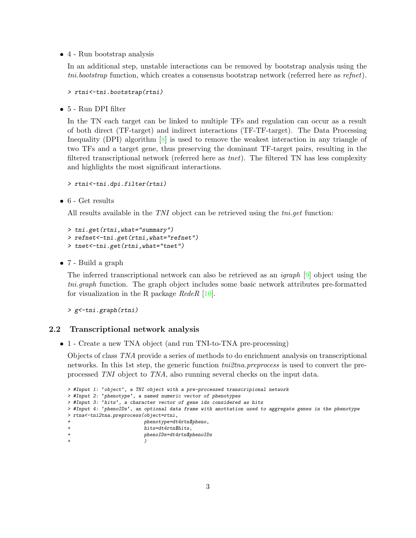4 - Run bootstrap analysis

In an additional step, unstable interactions can be removed by bootstrap analysis using the tni.bootstrap function, which creates a consensus bootstrap network (referred here as refnet).

```
> rtni<-tni.bootstrap(rtni)
```
 $\bullet\,$ 5 - Run DPI filter

In the TN each target can be linked to multiple TFs and regulation can occur as a result of both direct (TF-target) and indirect interactions (TF-TF-target). The Data Processing Inequality (DPI) algorithm [\[8\]](#page-6-7) is used to remove the weakest interaction in any triangle of two TFs and a target gene, thus preserving the dominant TF-target pairs, resulting in the filtered transcriptional network (referred here as tnet). The filtered TN has less complexity and highlights the most significant interactions.

```
> rtni<-tni.dpi.filter(rtni)
```
 $\bullet$  6 - Get results

All results available in the TNI object can be retrieved using the *tni.get* function:

```
> tni.get(rtni,what="summary")
> refnet<-tni.get(rtni,what="refnet")
> tnet<-tni.get(rtni,what="tnet")
```
7 - Build a graph

The inferred transcriptional network can also be retrieved as an igraph [\[9\]](#page-6-8) object using the tni.graph function. The graph object includes some basic network attributes pre-formatted for visualization in the R package  $RedeR$  [\[10\]](#page-6-9).

> g<-tni.graph(rtni)

#### <span id="page-2-0"></span>2.2 Transcriptional network analysis

1 - Create a new TNA object (and run TNI-to-TNA pre-processing)

Objects of class TNA provide a series of methods to do enrichment analysis on transcriptional networks. In this 1st step, the generic function  $\text{tni2tna.}$  preprocess is used to convert the preprocessed TNI object to TNA, also running several checks on the input data.

```
> #Input 1: 'object', a TNI object with a pre-processed transcripional network
> #Input 2: 'phenotype', a named numeric vector of phenotypes
> #Input 3: 'hits', a character vector of gene ids considered as hits
> #Input 4: 'phenoIDs', an optional data frame with anottation used to aggregate genes in the phenotype
> rtna<-tni2tna.preprocess(object=rtni,
                        phenotype=dt4rtn$pheno,
                        hits=dt4rtn$hits,
+ phenoIDs=dt4rtn$phenoIDs
+ )
```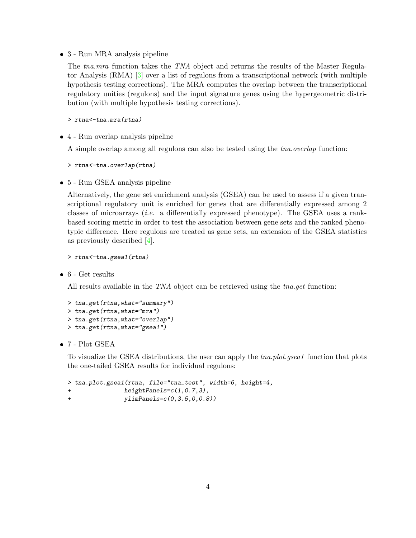3 - Run MRA analysis pipeline

The tna.mra function takes the TNA object and returns the results of the Master Regulator Analysis (RMA) [\[3\]](#page-6-2) over a list of regulons from a transcriptional network (with multiple hypothesis testing corrections). The MRA computes the overlap between the transcriptional regulatory unities (regulons) and the input signature genes using the hypergeometric distribution (with multiple hypothesis testing corrections).

> rtna<-tna.mra(rtna)

4 - Run overlap analysis pipeline

A simple overlap among all regulons can also be tested using the tna.overlap function:

> rtna<-tna.overlap(rtna)

5 - Run GSEA analysis pipeline

Alternatively, the gene set enrichment analysis (GSEA) can be used to assess if a given transcriptional regulatory unit is enriched for genes that are differentially expressed among 2 classes of microarrays (i.e. a differentially expressed phenotype). The GSEA uses a rankbased scoring metric in order to test the association between gene sets and the ranked phenotypic difference. Here regulons are treated as gene sets, an extension of the GSEA statistics as previously described [\[4\]](#page-6-3).

```
> rtna<-tna.gsea1(rtna)
```
 $\bullet$  6 - Get results

All results available in the TNA object can be retrieved using the tna.get function:

```
> tna.get(rtna,what="summary")
> tna.get(rtna,what="mra")
> tna.get(rtna,what="overlap")
> tna.get(rtna,what="gsea1")
```
 $\bullet$  7 - Plot GSEA

To visualize the GSEA distributions, the user can apply the *tna.plot.gsea1* function that plots the one-tailed GSEA results for individual regulons:

```
> tna.plot.gsea1(rtna, file="tna_test", width=6, height=4,
              heightPanels=c(1,0.7,3),+ ylimPanels=c(0,3.5,0,0.8))
```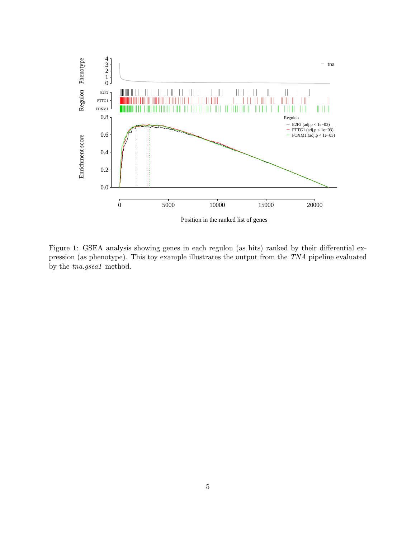

Figure 1: GSEA analysis showing genes in each regulon (as hits) ranked by their differential expression (as phenotype). This toy example illustrates the output from the TNA pipeline evaluated by the tna.gsea1 method.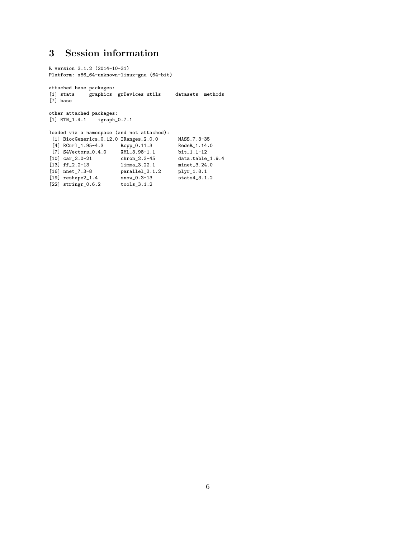# <span id="page-5-0"></span>3 Session information

```
R version 3.1.2 (2014-10-31)
Platform: x86_64-unknown-linux-gnu (64-bit)
attached base packages:
[1] stats graphics grDevices utils datasets methods
[7] base
other attached packages:
[1] RTN_1.4.1 igraph_0.7.1
loaded via a namespace (and not attached):
 [1] BiocGenerics_0.12.0 IRanges_2.0.0 MASS_7.3-35<br>[4] RCurl_1.95-4.3 Rcpp_0.11.3 RedeR_1.14.0
 [4] RCurl_1.95-4.3
 [7] S4Vectors_0.4.0 XML_3.98-1.1 bit_1.1-12<br>[10] car_2.0-21 chron_2.3-45 data.table_1.9.4
[10] car_2.0-21 chron_2.3-45 data.table_1.<br>[13] ff_2.2-13 limma_3.22.1 minet_3.24.0
[10] car_2.0-21 chron_2.3-45 data.table<br>
[13] ff_2.2-13 limma_3.22.1 minet_3.24.<br>
[16] nnet_7.3-8 parallel_3.1.2 plyr_1.8.1
                            parallel_3.1.2 plyr_1.8.1<br>snow_0.3-13 stats4_3.1.2
[19] reshape2\_1.4[22] stringr[0.6.2 tools[3.1.2]
```